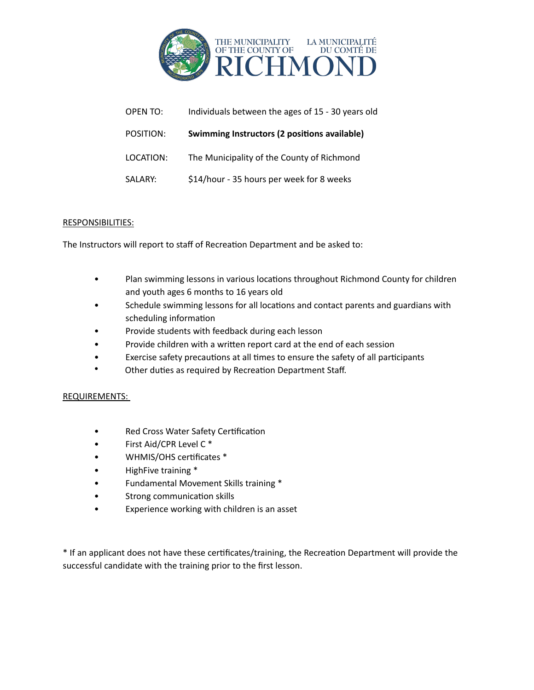

| OPEN TO:  | Individuals between the ages of 15 - 30 years old |
|-----------|---------------------------------------------------|
| POSITION: | Swimming Instructors (2 positions available)      |
| LOCATION: | The Municipality of the County of Richmond        |
| SALARY:   | \$14/hour - 35 hours per week for 8 weeks         |

The Instructors will report to staff of Recreation Department and be asked to:

- Plan swimming lessons in various locations throughout Richmond County for children and youth ages 6 months to 16 years old
- Schedule swimming lessons for all locations and contact parents and guardians with scheduling information
- Provide students with feedback during each lesson
- Provide children with a written report card at the end of each session
- Exercise safety precautions at all times to ensure the safety of all participants
- Other duties as required by Recreation Department Staff.

# REQUIREMENTS:

- Red Cross Water Safety Certification
- First Aid/CPR Level C \*
- WHMIS/OHS certificates \*
- HighFive training  $*$
- Fundamental Movement Skills training \*
- Strong communication skills
- Experience working with children is an asset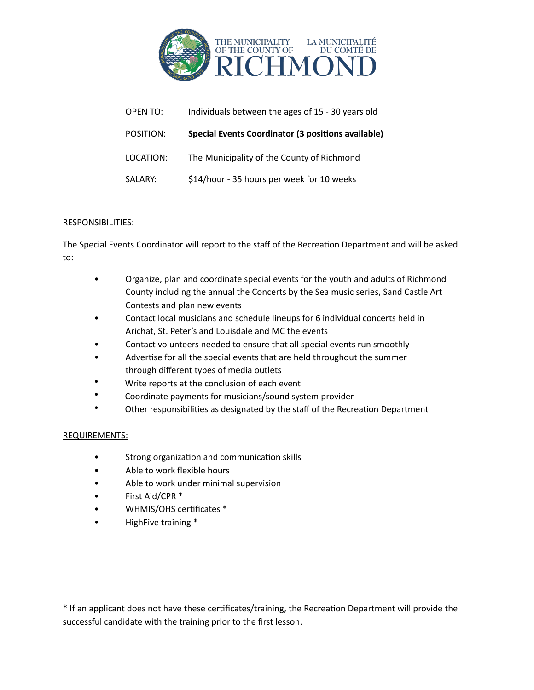

| OPEN TO:  | Individuals between the ages of 15 - 30 years old  |
|-----------|----------------------------------------------------|
| POSITION: | Special Events Coordinator (3 positions available) |
| LOCATION: | The Municipality of the County of Richmond         |
| SALARY:   | \$14/hour - 35 hours per week for 10 weeks         |

The Special Events Coordinator will report to the staff of the Recreation Department and will be asked to: 

- Organize, plan and coordinate special events for the youth and adults of Richmond County including the annual the Concerts by the Sea music series, Sand Castle Art Contests and plan new events
- Contact local musicians and schedule lineups for 6 individual concerts held in Arichat, St. Peter's and Louisdale and MC the events
- Contact volunteers needed to ensure that all special events run smoothly
- Advertise for all the special events that are held throughout the summer through different types of media outlets
- Write reports at the conclusion of each event
- Coordinate payments for musicians/sound system provider
- Other responsibilities as designated by the staff of the Recreation Department

# REQUIREMENTS:

- Strong organization and communication skills
- Able to work flexible hours
- Able to work under minimal supervision
- First Aid/CPR \*
- WHMIS/OHS certificates \*
- HighFive training \*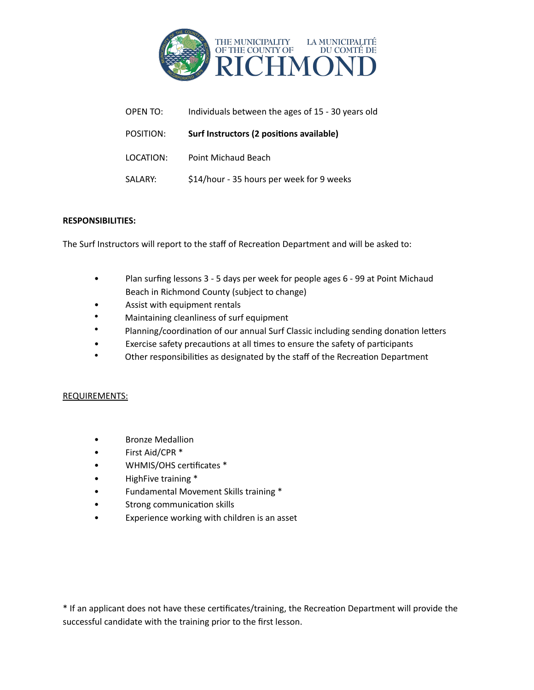

| OPEN TO:  | Individuals between the ages of 15 - 30 years old |
|-----------|---------------------------------------------------|
| POSITION: | Surf Instructors (2 positions available)          |
| LOCATION: | Point Michaud Beach                               |
| SALARY:   | \$14/hour - 35 hours per week for 9 weeks         |

The Surf Instructors will report to the staff of Recreation Department and will be asked to:

- Plan surfing lessons 3 5 days per week for people ages 6 99 at Point Michaud Beach in Richmond County (subject to change)
- Assist with equipment rentals
- Maintaining cleanliness of surf equipment
- Planning/coordination of our annual Surf Classic including sending donation letters
- Exercise safety precautions at all times to ensure the safety of participants
- Other responsibilities as designated by the staff of the Recreation Department

## REQUIREMENTS:

- **Bronze Medallion**
- First Aid/CPR \*
- WHMIS/OHS certificates \*
- HighFive training \*
- Fundamental Movement Skills training \*
- Strong communication skills
- Experience working with children is an asset